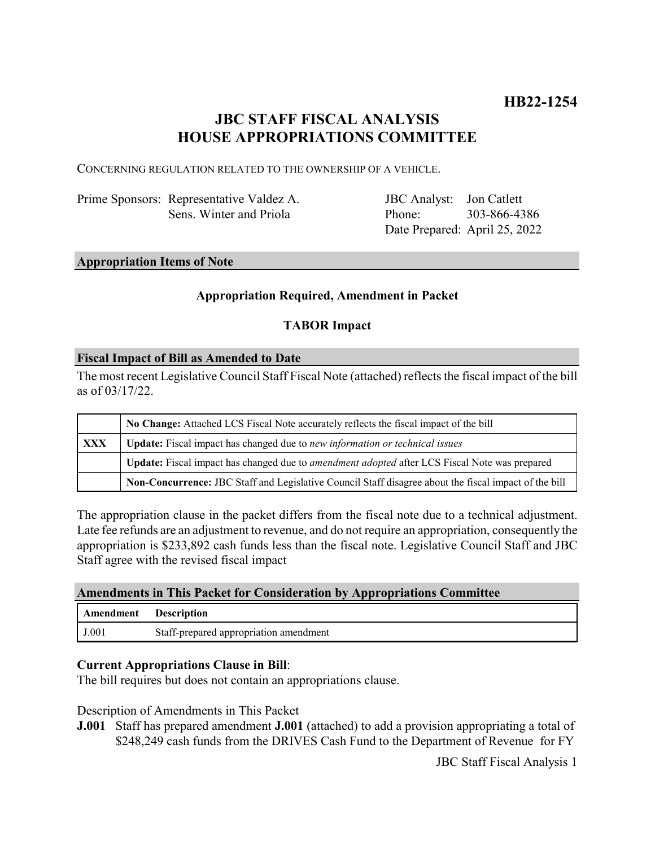# **JBC STAFF FISCAL ANALYSIS HOUSE APPROPRIATIONS COMMITTEE**

CONCERNING REGULATION RELATED TO THE OWNERSHIP OF A VEHICLE.

Prime Sponsors: Representative Valdez A. Sens. Winter and Priola

JBC Analyst: Jon Catlett Phone: Date Prepared: April 25, 2022 303-866-4386

#### **Appropriation Items of Note**

### **Appropriation Required, Amendment in Packet**

## **TABOR Impact**

#### **Fiscal Impact of Bill as Amended to Date**

The most recent Legislative Council Staff Fiscal Note (attached) reflects the fiscal impact of the bill as of 03/17/22.

|            | No Change: Attached LCS Fiscal Note accurately reflects the fiscal impact of the bill                 |
|------------|-------------------------------------------------------------------------------------------------------|
| <b>XXX</b> | Update: Fiscal impact has changed due to new information or technical issues                          |
|            | Update: Fiscal impact has changed due to <i>amendment adopted</i> after LCS Fiscal Note was prepared  |
|            | Non-Concurrence: JBC Staff and Legislative Council Staff disagree about the fiscal impact of the bill |

The appropriation clause in the packet differs from the fiscal note due to a technical adjustment. Late fee refunds are an adjustment to revenue, and do not require an appropriation, consequently the appropriation is \$233,892 cash funds less than the fiscal note. Legislative Council Staff and JBC Staff agree with the revised fiscal impact

#### **Amendments in This Packet for Consideration by Appropriations Committee**

| <b>Amendment</b> Description |                                        |
|------------------------------|----------------------------------------|
| J.001                        | Staff-prepared appropriation amendment |

#### **Current Appropriations Clause in Bill**:

The bill requires but does not contain an appropriations clause.

Description of Amendments in This Packet

**J.001** Staff has prepared amendment **J.001** (attached) to add a provision appropriating a total of \$248,249 cash funds from the DRIVES Cash Fund to the Department of Revenue for FY

JBC Staff Fiscal Analysis 1